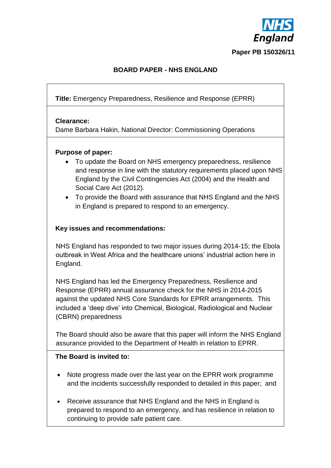

# **BOARD PAPER - NHS ENGLAND**

**Title:** Emergency Preparedness, Resilience and Response (EPRR)

#### **Clearance:**

Dame Barbara Hakin, National Director: Commissioning Operations

### **Purpose of paper:**

- To update the Board on NHS emergency preparedness, resilience and response in line with the statutory requirements placed upon NHS England by the Civil Contingencies Act (2004) and the Health and Social Care Act (2012).
- To provide the Board with assurance that NHS England and the NHS in England is prepared to respond to an emergency.

#### **Key issues and recommendations:**

NHS England has responded to two major issues during 2014-15; the Ebola outbreak in West Africa and the healthcare unions' industrial action here in England.

NHS England has led the Emergency Preparedness, Resilience and Response (EPRR) annual assurance check for the NHS in 2014-2015 against the updated NHS Core Standards for EPRR arrangements. This included a 'deep dive' into Chemical, Biological, Radiological and Nuclear (CBRN) preparedness

The Board should also be aware that this paper will inform the NHS England assurance provided to the Department of Health in relation to EPRR.

#### **The Board is invited to:**

- Note progress made over the last year on the EPRR work programme and the incidents successfully responded to detailed in this paper; and
- Receive assurance that NHS England and the NHS in England is prepared to respond to an emergency, and has resilience in relation to continuing to provide safe patient care.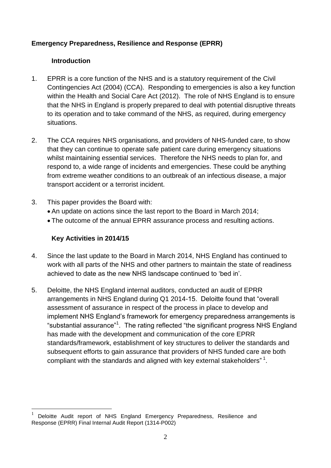### **Emergency Preparedness, Resilience and Response (EPRR)**

#### **Introduction**

- 1. EPRR is a core function of the NHS and is a statutory requirement of the Civil Contingencies Act (2004) (CCA). Responding to emergencies is also a key function within the Health and Social Care Act (2012). The role of NHS England is to ensure that the NHS in England is properly prepared to deal with potential disruptive threats to its operation and to take command of the NHS, as required, during emergency situations.
- 2. The CCA requires NHS organisations, and providers of NHS-funded care, to show that they can continue to operate safe patient care during emergency situations whilst maintaining essential services. Therefore the NHS needs to plan for, and respond to, a wide range of incidents and emergencies. These could be anything from extreme weather conditions to an outbreak of an infectious disease, a major transport accident or a terrorist incident.
- 3. This paper provides the Board with:
	- An update on actions since the last report to the Board in March 2014;
	- The outcome of the annual EPRR assurance process and resulting actions.

### **Key Activities in 2014/15**

 $\overline{a}$ 

- 4. Since the last update to the Board in March 2014, NHS England has continued to work with all parts of the NHS and other partners to maintain the state of readiness achieved to date as the new NHS landscape continued to 'bed in'.
- 5. Deloitte, the NHS England internal auditors, conducted an audit of EPRR arrangements in NHS England during Q1 2014-15. Deloitte found that "overall assessment of assurance in respect of the process in place to develop and implement NHS England's framework for emergency preparedness arrangements is "substantial assurance"<sup>1</sup>. The rating reflected "the significant progress NHS England has made with the development and communication of the core EPRR standards/framework, establishment of key structures to deliver the standards and subsequent efforts to gain assurance that providers of NHS funded care are both compliant with the standards and aligned with key external stakeholders"  $1$ .

<sup>1</sup> Deloitte Audit report of NHS England Emergency Preparedness, Resilience and Response (EPRR) Final Internal Audit Report (1314-P002)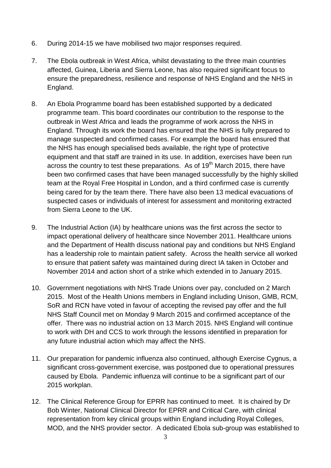- 6. During 2014-15 we have mobilised two major responses required.
- 7. The Ebola outbreak in West Africa, whilst devastating to the three main countries affected, Guinea, Liberia and Sierra Leone, has also required significant focus to ensure the preparedness, resilience and response of NHS England and the NHS in England.
- 8. An Ebola Programme board has been established supported by a dedicated programme team. This board coordinates our contribution to the response to the outbreak in West Africa and leads the programme of work across the NHS in England. Through its work the board has ensured that the NHS is fully prepared to manage suspected and confirmed cases. For example the board has ensured that the NHS has enough specialised beds available, the right type of protective equipment and that staff are trained in its use. In addition, exercises have been run across the country to test these preparations. As of  $19<sup>th</sup>$  March 2015, there have been two confirmed cases that have been managed successfully by the highly skilled team at the Royal Free Hospital in London, and a third confirmed case is currently being cared for by the team there. There have also been 13 medical evacuations of suspected cases or individuals of interest for assessment and monitoring extracted from Sierra Leone to the UK.
- 9. The Industrial Action (IA) by healthcare unions was the first across the sector to impact operational delivery of healthcare since November 2011. Healthcare unions and the Department of Health discuss national pay and conditions but NHS England has a leadership role to maintain patient safety. Across the health service all worked to ensure that patient safety was maintained during direct IA taken in October and November 2014 and action short of a strike which extended in to January 2015.
- 10. Government negotiations with NHS Trade Unions over pay, concluded on 2 March 2015. Most of the Health Unions members in England including Unison, GMB, RCM, SoR and RCN have voted in favour of accepting the revised pay offer and the full NHS Staff Council met on Monday 9 March 2015 and confirmed acceptance of the offer. There was no industrial action on 13 March 2015. NHS England will continue to work with DH and CCS to work through the lessons identified in preparation for any future industrial action which may affect the NHS.
- 11. Our preparation for pandemic influenza also continued, although Exercise Cygnus, a significant cross-government exercise, was postponed due to operational pressures caused by Ebola. Pandemic influenza will continue to be a significant part of our 2015 workplan.
- 12. The Clinical Reference Group for EPRR has continued to meet. It is chaired by Dr Bob Winter, National Clinical Director for EPRR and Critical Care, with clinical representation from key clinical groups within England including Royal Colleges, MOD, and the NHS provider sector. A dedicated Ebola sub-group was established to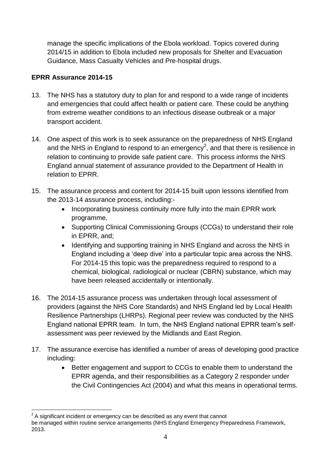manage the specific implications of the Ebola workload. Topics covered during 2014/15 in addition to Ebola included new proposals for Shelter and Evacuation Guidance, Mass Casualty Vehicles and Pre-hospital drugs.

# **EPRR Assurance 2014-15**

- 13. The NHS has a statutory duty to plan for and respond to a wide range of incidents and emergencies that could affect health or patient care. These could be anything from extreme weather conditions to an infectious disease outbreak or a major transport accident.
- 14. One aspect of this work is to seek assurance on the preparedness of NHS England and the NHS in England to respond to an emergency<sup>2</sup>, and that there is resilience in relation to continuing to provide safe patient care. This process informs the NHS England annual statement of assurance provided to the Department of Health in relation to EPRR.
- 15. The assurance process and content for 2014-15 built upon lessons identified from the 2013-14 assurance process, including:-
	- Incorporating business continuity more fully into the main EPRR work programme.
	- Supporting Clinical Commissioning Groups (CCGs) to understand their role in EPRR, and;
	- Identifying and supporting training in NHS England and across the NHS in England including a 'deep dive' into a particular topic area across the NHS. For 2014-15 this topic was the preparedness required to respond to a chemical, biological, radiological or nuclear (CBRN) substance, which may have been released accidentally or intentionally.
- 16. The 2014-15 assurance process was undertaken through local assessment of providers (against the NHS Core Standards) and NHS England led by Local Health Resilience Partnerships (LHRPs). Regional peer review was conducted by the NHS England national EPRR team. In turn, the NHS England national EPRR team's selfassessment was peer reviewed by the Midlands and East Region.
- 17. The assurance exercise has identified a number of areas of developing good practice including:
	- Better engagement and support to CCGs to enable them to understand the EPRR agenda, and their responsibilities as a Category 2 responder under the Civil Contingencies Act (2004) and what this means in operational terms.

 $\overline{a}$  $2$  A significant incident or emergency can be described as any event that cannot

be managed within routine service arrangements (NHS England Emergency Preparedness Framework, 2013.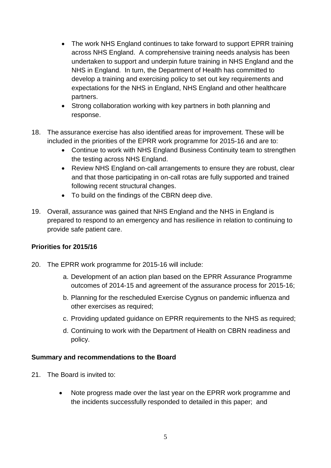- The work NHS England continues to take forward to support EPRR training across NHS England. A comprehensive training needs analysis has been undertaken to support and underpin future training in NHS England and the NHS in England. In turn, the Department of Health has committed to develop a training and exercising policy to set out key requirements and expectations for the NHS in England, NHS England and other healthcare partners.
- Strong collaboration working with key partners in both planning and response.
- 18. The assurance exercise has also identified areas for improvement. These will be included in the priorities of the EPRR work programme for 2015-16 and are to:
	- Continue to work with NHS England Business Continuity team to strengthen the testing across NHS England.
	- Review NHS England on-call arrangements to ensure they are robust, clear and that those participating in on-call rotas are fully supported and trained following recent structural changes.
	- To build on the findings of the CBRN deep dive.
- 19. Overall, assurance was gained that NHS England and the NHS in England is prepared to respond to an emergency and has resilience in relation to continuing to provide safe patient care.

### **Priorities for 2015/16**

- 20. The EPRR work programme for 2015-16 will include:
	- a. Development of an action plan based on the EPRR Assurance Programme outcomes of 2014-15 and agreement of the assurance process for 2015-16;
	- b. Planning for the rescheduled Exercise Cygnus on pandemic influenza and other exercises as required;
	- c. Providing updated guidance on EPRR requirements to the NHS as required;
	- d. Continuing to work with the Department of Health on CBRN readiness and policy.

### **Summary and recommendations to the Board**

- 21. The Board is invited to:
	- Note progress made over the last year on the EPRR work programme and the incidents successfully responded to detailed in this paper; and